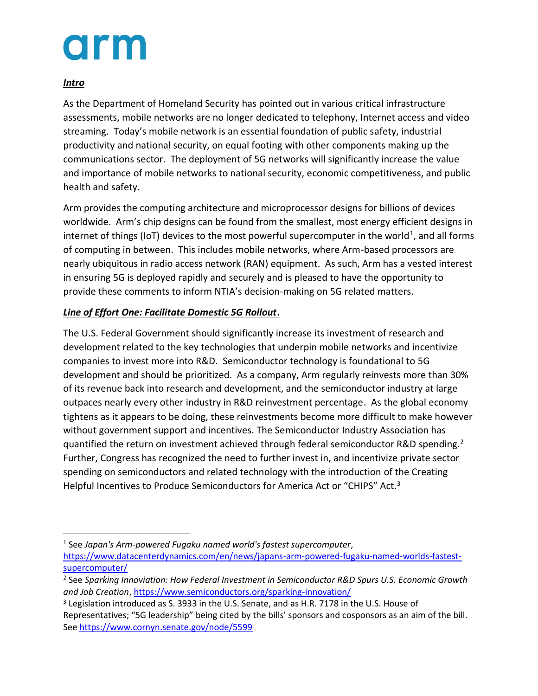#### *Intro*

As the Department of Homeland Security has pointed out in various critical infrastructure assessments, mobile networks are no longer dedicated to telephony, Internet access and video streaming. Today's mobile network is an essential foundation of public safety, industrial productivity and national security, on equal footing with other components making up the communications sector. The deployment of 5G networks will significantly increase the value and importance of mobile networks to national security, economic competitiveness, and public health and safety.

Arm provides the computing architecture and microprocessor designs for billions of devices worldwide. Arm's chip designs can be found from the smallest, most energy efficient designs in internet of things (IoT) devices to the most powerful supercomputer in the world<sup>1</sup>, and all forms of computing in between. This includes mobile networks, where Arm-based processors are nearly ubiquitous in radio access network (RAN) equipment. As such, Arm has a vested interest in ensuring 5G is deployed rapidly and securely and is pleased to have the opportunity to provide these comments to inform NTIA's decision-making on 5G related matters.

#### *Line of Effort One: Facilitate Domestic 5G Rollout***.**

The U.S. Federal Government should significantly increase its investment of research and development related to the key technologies that underpin mobile networks and incentivize companies to invest more into R&D. Semiconductor technology is foundational to 5G development and should be prioritized. As a company, Arm regularly reinvests more than 30% of its revenue back into research and development, and the semiconductor industry at large outpaces nearly every other industry in R&D reinvestment percentage. As the global economy tightens as it appears to be doing, these reinvestments become more difficult to make however without government support and incentives. The Semiconductor Industry Association has quantified the return on investment achieved through federal semiconductor R&D spending.<sup>2</sup> Further, Congress has recognized the need to further invest in, and incentivize private sector spending on semiconductors and related technology with the introduction of the Creating Helpful Incentives to Produce Semiconductors for America Act or "CHIPS" Act.<sup>3</sup>

<sup>1</sup> See *Japan's Arm-powered Fugaku named world's fastest supercomputer*, [https://www.datacenterdynamics.com/en/news/japans-arm-powered-fugaku-named-worlds-fastest](https://www.datacenterdynamics.com/en/news/japans-arm-powered-fugaku-named-worlds-fastest-supercomputer/)[supercomputer/](https://www.datacenterdynamics.com/en/news/japans-arm-powered-fugaku-named-worlds-fastest-supercomputer/)

<sup>2</sup> See *Sparking Innoviation: How Federal Investment in Semiconductor R&D Spurs U.S. Economic Growth and Job Creation*,<https://www.semiconductors.org/sparking-innovation/>

<sup>&</sup>lt;sup>3</sup> Legislation introduced as S. 3933 in the U.S. Senate, and as H.R. 7178 in the U.S. House of Representatives; "5G leadership" being cited by the bills' sponsors and cosponsors as an aim of the bill. See<https://www.cornyn.senate.gov/node/5599>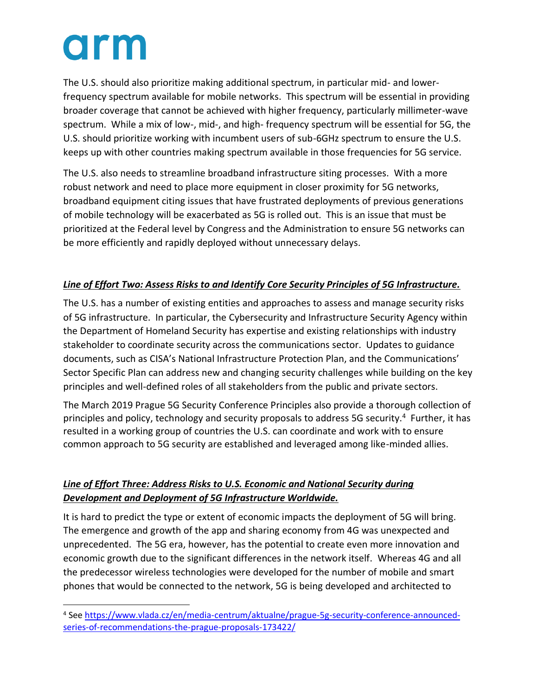The U.S. should also prioritize making additional spectrum, in particular mid- and lowerfrequency spectrum available for mobile networks. This spectrum will be essential in providing broader coverage that cannot be achieved with higher frequency, particularly millimeter-wave spectrum. While a mix of low-, mid-, and high- frequency spectrum will be essential for 5G, the U.S. should prioritize working with incumbent users of sub-6GHz spectrum to ensure the U.S. keeps up with other countries making spectrum available in those frequencies for 5G service.

The U.S. also needs to streamline broadband infrastructure siting processes. With a more robust network and need to place more equipment in closer proximity for 5G networks, broadband equipment citing issues that have frustrated deployments of previous generations of mobile technology will be exacerbated as 5G is rolled out. This is an issue that must be prioritized at the Federal level by Congress and the Administration to ensure 5G networks can be more efficiently and rapidly deployed without unnecessary delays.

### *Line of Effort Two: Assess Risks to and Identify Core Security Principles of 5G Infrastructure.*

The U.S. has a number of existing entities and approaches to assess and manage security risks of 5G infrastructure. In particular, the Cybersecurity and Infrastructure Security Agency within the Department of Homeland Security has expertise and existing relationships with industry stakeholder to coordinate security across the communications sector. Updates to guidance documents, such as CISA's National Infrastructure Protection Plan, and the Communications' Sector Specific Plan can address new and changing security challenges while building on the key principles and well-defined roles of all stakeholders from the public and private sectors.

The March 2019 Prague 5G Security Conference Principles also provide a thorough collection of principles and policy, technology and security proposals to address 5G security.<sup>4</sup> Further, it has resulted in a working group of countries the U.S. can coordinate and work with to ensure common approach to 5G security are established and leveraged among like-minded allies.

### *Line of Effort Three: Address Risks to U.S. Economic and National Security during Development and Deployment of 5G Infrastructure Worldwide.*

It is hard to predict the type or extent of economic impacts the deployment of 5G will bring. The emergence and growth of the app and sharing economy from 4G was unexpected and unprecedented. The 5G era, however, has the potential to create even more innovation and economic growth due to the significant differences in the network itself. Whereas 4G and all the predecessor wireless technologies were developed for the number of mobile and smart phones that would be connected to the network, 5G is being developed and architected to

<sup>4</sup> See [https://www.vlada.cz/en/media-centrum/aktualne/prague-5g-security-conference-announced](https://www.vlada.cz/en/media-centrum/aktualne/prague-5g-security-conference-announced-series-of-recommendations-the-prague-proposals-173422/)[series-of-recommendations-the-prague-proposals-173422/](https://www.vlada.cz/en/media-centrum/aktualne/prague-5g-security-conference-announced-series-of-recommendations-the-prague-proposals-173422/)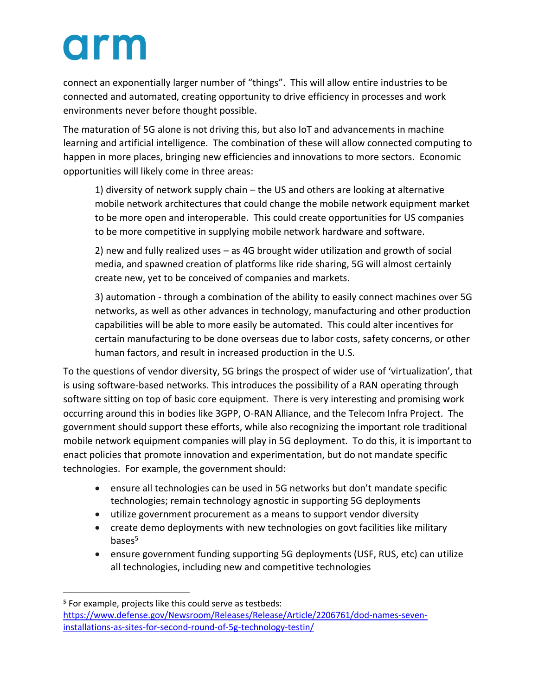connect an exponentially larger number of "things". This will allow entire industries to be connected and automated, creating opportunity to drive efficiency in processes and work environments never before thought possible.

The maturation of 5G alone is not driving this, but also IoT and advancements in machine learning and artificial intelligence. The combination of these will allow connected computing to happen in more places, bringing new efficiencies and innovations to more sectors. Economic opportunities will likely come in three areas:

1) diversity of network supply chain – the US and others are looking at alternative mobile network architectures that could change the mobile network equipment market to be more open and interoperable. This could create opportunities for US companies to be more competitive in supplying mobile network hardware and software.

2) new and fully realized uses – as 4G brought wider utilization and growth of social media, and spawned creation of platforms like ride sharing, 5G will almost certainly create new, yet to be conceived of companies and markets.

3) automation - through a combination of the ability to easily connect machines over 5G networks, as well as other advances in technology, manufacturing and other production capabilities will be able to more easily be automated. This could alter incentives for certain manufacturing to be done overseas due to labor costs, safety concerns, or other human factors, and result in increased production in the U.S.

To the questions of vendor diversity, 5G brings the prospect of wider use of 'virtualization', that is using software-based networks. This introduces the possibility of a RAN operating through software sitting on top of basic core equipment. There is very interesting and promising work occurring around this in bodies like 3GPP, O-RAN Alliance, and the Telecom Infra Project. The government should support these efforts, while also recognizing the important role traditional mobile network equipment companies will play in 5G deployment. To do this, it is important to enact policies that promote innovation and experimentation, but do not mandate specific technologies. For example, the government should:

- ensure all technologies can be used in 5G networks but don't mandate specific technologies; remain technology agnostic in supporting 5G deployments
- utilize government procurement as a means to support vendor diversity
- create demo deployments with new technologies on govt facilities like military bases<sup>5</sup>
- ensure government funding supporting 5G deployments (USF, RUS, etc) can utilize all technologies, including new and competitive technologies

<sup>5</sup> For example, projects like this could serve as testbeds: [https://www.defense.gov/Newsroom/Releases/Release/Article/2206761/dod-names-seven](https://www.defense.gov/Newsroom/Releases/Release/Article/2206761/dod-names-seven-installations-as-sites-for-second-round-of-5g-technology-testin/)[installations-as-sites-for-second-round-of-5g-technology-testin/](https://www.defense.gov/Newsroom/Releases/Release/Article/2206761/dod-names-seven-installations-as-sites-for-second-round-of-5g-technology-testin/)